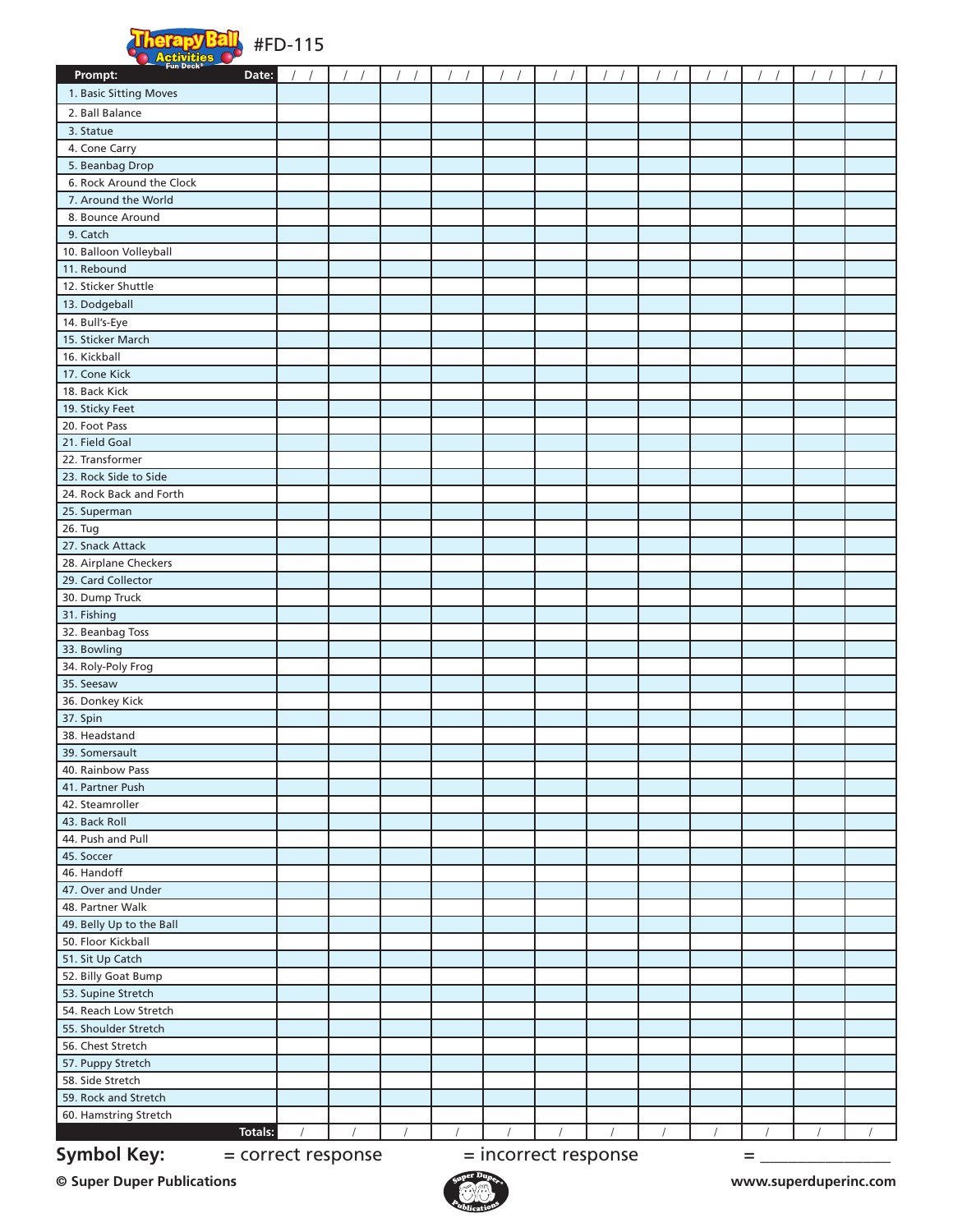

| <b>Executive Contracts</b><br>Prompt:<br>Date: |            |          |  |  |  |  |  |
|------------------------------------------------|------------|----------|--|--|--|--|--|
| 1. Basic Sitting Moves                         |            |          |  |  |  |  |  |
|                                                |            |          |  |  |  |  |  |
| 2. Ball Balance                                |            |          |  |  |  |  |  |
| 3. Statue                                      |            |          |  |  |  |  |  |
| 4. Cone Carry                                  |            |          |  |  |  |  |  |
| 5. Beanbag Drop                                |            |          |  |  |  |  |  |
| 6. Rock Around the Clock                       |            |          |  |  |  |  |  |
| 7. Around the World                            |            |          |  |  |  |  |  |
| 8. Bounce Around                               |            |          |  |  |  |  |  |
| 9. Catch                                       |            |          |  |  |  |  |  |
| 10. Balloon Volleyball                         |            |          |  |  |  |  |  |
| 11. Rebound                                    |            |          |  |  |  |  |  |
| 12. Sticker Shuttle                            |            |          |  |  |  |  |  |
| 13. Dodgeball                                  |            |          |  |  |  |  |  |
| 14. Bull's-Eye                                 |            |          |  |  |  |  |  |
| 15. Sticker March                              |            |          |  |  |  |  |  |
| 16. Kickball                                   |            |          |  |  |  |  |  |
| 17. Cone Kick                                  |            |          |  |  |  |  |  |
| 18. Back Kick                                  |            |          |  |  |  |  |  |
| 19. Sticky Feet                                |            |          |  |  |  |  |  |
| 20. Foot Pass                                  |            |          |  |  |  |  |  |
| 21. Field Goal                                 |            |          |  |  |  |  |  |
| 22. Transformer                                |            |          |  |  |  |  |  |
| 23. Rock Side to Side                          |            |          |  |  |  |  |  |
| 24. Rock Back and Forth                        |            |          |  |  |  |  |  |
| 25. Superman                                   |            |          |  |  |  |  |  |
| 26. Tug                                        |            |          |  |  |  |  |  |
| 27. Snack Attack                               |            |          |  |  |  |  |  |
| 28. Airplane Checkers                          |            |          |  |  |  |  |  |
| 29. Card Collector                             |            |          |  |  |  |  |  |
| 30. Dump Truck                                 |            |          |  |  |  |  |  |
| 31. Fishing                                    |            |          |  |  |  |  |  |
| 32. Beanbag Toss                               |            |          |  |  |  |  |  |
| 33. Bowling                                    |            |          |  |  |  |  |  |
| 34. Roly-Poly Frog<br>35. Seesaw               |            |          |  |  |  |  |  |
| 36. Donkey Kick                                |            |          |  |  |  |  |  |
| 37. Spin                                       |            |          |  |  |  |  |  |
| 38. Headstand                                  |            |          |  |  |  |  |  |
| 39. Somersault                                 |            |          |  |  |  |  |  |
| 40. Rainbow Pass                               |            |          |  |  |  |  |  |
| 41. Partner Push                               |            |          |  |  |  |  |  |
| 42. Steamroller                                |            |          |  |  |  |  |  |
| 43. Back Roll                                  |            |          |  |  |  |  |  |
| 44. Push and Pull                              |            |          |  |  |  |  |  |
| 45. Soccer                                     |            |          |  |  |  |  |  |
| 46. Handoff                                    |            |          |  |  |  |  |  |
| 47. Over and Under                             |            |          |  |  |  |  |  |
| 48. Partner Walk                               |            |          |  |  |  |  |  |
| 49. Belly Up to the Ball                       |            |          |  |  |  |  |  |
| 50. Floor Kickball                             |            |          |  |  |  |  |  |
| 51. Sit Up Catch                               |            |          |  |  |  |  |  |
| 52. Billy Goat Bump                            |            |          |  |  |  |  |  |
| 53. Supine Stretch                             |            |          |  |  |  |  |  |
| 54. Reach Low Stretch                          |            |          |  |  |  |  |  |
| 55. Shoulder Stretch                           |            |          |  |  |  |  |  |
| 56. Chest Stretch                              |            |          |  |  |  |  |  |
| 57. Puppy Stretch                              |            |          |  |  |  |  |  |
| 58. Side Stretch                               |            |          |  |  |  |  |  |
| 59. Rock and Stretch                           |            |          |  |  |  |  |  |
| 60. Hamstring Stretch                          |            |          |  |  |  |  |  |
| Totals:                                        | $\sqrt{2}$ | $\prime$ |  |  |  |  |  |

**Symbol Key:**  $=$  correct response  $=$  incorrect response  $=$   $=$